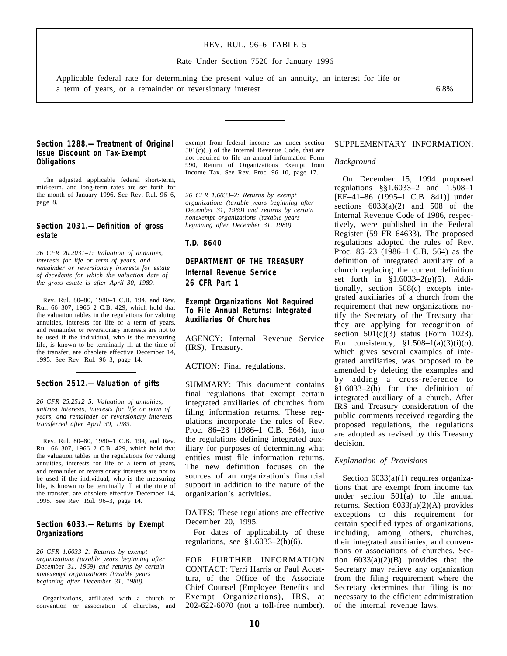## REV. RUL. 96–6 TABLE 5

Rate Under Section 7520 for January 1996

Applicable federal rate for determining the present value of an annuity, an interest for life or a term of years, or a remainder or reversionary interest 6.8%

## **Section 1288.—Treatment of Original Issue Discount on Tax-Exempt Obligations**

The adjusted applicable federal short-term, mid-term, and long-term rates are set forth for the month of January 1996. See Rev. Rul. 96–6, page 8.

### **Section 2031.—Definition of gross estate**

*26 CFR 20.2031–7: Valuation of annuities, interests for life or term of years, and remainder or reversionary interests for estate of decedents for which the valuation date of the gross estate is after April 30, 1989.* 

Rev. Rul. 80–80, 1980–1 C.B. 194, and Rev. Rul. 66–307, 1966–2 C.B. 429, which hold that the valuation tables in the regulations for valuing annuities, interests for life or a term of years, and remainder or reversionary interests are not to be used if the individual, who is the measuring life, is known to be terminally ill at the time of the transfer, are obsolete effective December 14, 1995. See Rev. Rul. 96–3, page 14.

### **Section 2512.—Valuation of gifts**

*26 CFR 25.2512–5: Valuation of annuities, unitrust interests, interests for life or term of years, and remainder or reversionary interests transferred after April 30, 1989.* 

Rev. Rul. 80–80, 1980–1 C.B. 194, and Rev. Rul. 66–307, 1966–2 C.B. 429, which hold that the valuation tables in the regulations for valuing annuities, interests for life or a term of years, and remainder or reversionary interests are not to be used if the individual, who is the measuring life, is known to be terminally ill at the time of the transfer, are obsolete effective December 14, 1995. See Rev. Rul. 96–3, page 14.

### **Section 6033.—Returns by Exempt Organizations**

*26 CFR 1.6033–2: Returns by exempt organizations (taxable years beginning after December 31, 1969) and returns by certain nonexempt organizations (taxable years beginning after December 31, 1980).* 

Organizations, affiliated with a church or convention or association of churches, and exempt from federal income tax under section  $501(c)(3)$  of the Internal Revenue Code, that are not required to file an annual information Form 990, Return of Organizations Exempt from Income Tax. See Rev. Proc. 96–10, page 17.

*26 CFR 1.6033–2: Returns by exempt organizations (taxable years beginning after December 31, 1969) and returns by certain nonexempt organizations (taxable years beginning after December 31, 1980).* 

**T.D. 8640** 

**DEPARTMENT OF THE TREASURY Internal Revenue Service 26 CFR Part 1** 

**Exempt Organizations Not Required To File Annual Returns: Integrated Auxiliaries Of Churches** 

AGENCY: Internal Revenue Service (IRS), Treasury.

ACTION: Final regulations.

SUMMARY: This document contains final regulations that exempt certain integrated auxiliaries of churches from filing information returns. These regulations incorporate the rules of Rev. Proc. 86–23 (1986–1 C.B. 564), into the regulations defining integrated auxiliary for purposes of determining what entities must file information returns. The new definition focuses on the sources of an organization's financial support in addition to the nature of the organization's activities.

DATES: These regulations are effective December 20, 1995.

For dates of applicability of these regulations, see §1.6033–2(h)(6).

FOR FURTHER INFORMATION CONTACT: Terri Harris or Paul Accettura, of the Office of the Associate Chief Counsel (Employee Benefits and Exempt Organizations), IRS, at 202-622-6070 (not a toll-free number).

#### SUPPLEMENTARY INFORMATION:

#### *Background*

On December 15, 1994 proposed regulations §§1.6033–2 and 1.508–1 [EE–41–86 (1995–1 C.B. 841)] under sections  $6033(a)(2)$  and  $508$  of the Internal Revenue Code of 1986, respectively, were published in the Federal Register (59 FR 64633). The proposed regulations adopted the rules of Rev. Proc. 86–23 (1986–1 C.B. 564) as the definition of integrated auxiliary of a church replacing the current definition set forth in  $\S 1.6033 - 2(g)(5)$ . Additionally, section 508(c) excepts integrated auxiliaries of a church from the requirement that new organizations notify the Secretary of the Treasury that they are applying for recognition of section  $501(c)(3)$  status (Form 1023). For consistency, §1.508–1(a)(3)(i)(*a*), which gives several examples of integrated auxiliaries, was proposed to be amended by deleting the examples and by adding a cross-reference to  $\sin 6033-2(\text{h})$  for the definition of integrated auxiliary of a church. After IRS and Treasury consideration of the public comments received regarding the proposed regulations, the regulations are adopted as revised by this Treasury decision.

#### *Explanation of Provisions*

Section 6033(a)(1) requires organizations that are exempt from income tax under section 501(a) to file annual returns. Section 6033(a)(2)(A) provides exceptions to this requirement for certain specified types of organizations, including, among others, churches, their integrated auxiliaries, and conventions or associations of churches. Section  $6033(a)(2)(B)$  provides that the Secretary may relieve any organization from the filing requirement where the Secretary determines that filing is not necessary to the efficient administration of the internal revenue laws.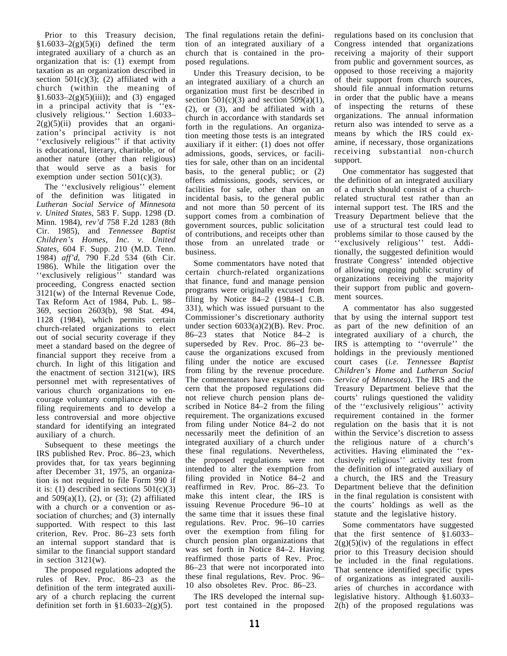Prior to this Treasury decision,  $§1.6033-2(g)(5)(i)$  defined the term integrated auxiliary of a church as an organization that is: (1) exempt from taxation as an organization described in section  $501(c)(3)$ ; (2) affiliated with a church (within the meaning of  $$1.6033-2(g)(5)(iii)$ ; and (3) engaged in a principal activity that is ''exclusively religious.'' Section 1.6033–  $2(g)(5)(ii)$  provides that an organization's principal activity is not ''exclusively religious'' if that activity is educational, literary, charitable, or of another nature (other than religious) that would serve as a basis for exemption under section  $501(c)(3)$ .

The ''exclusively religious'' element of the definition was litigated in *Lutheran Social Service of Minnesota v. United States*, 583 F. Supp. 1298 (D. Minn. 1984), *rev'd* 758 F.2d 1283 (8th Cir. 1985), and *Tennessee Baptist Children's Homes, Inc. v. United States*, 604 F. Supp. 210 (M.D. Tenn. 1984) *aff'd*, 790 F.2d 534 (6th Cir. 1986). While the litigation over the "exclusively religious" standard was proceeding, Congress enacted section 3121(w) of the Internal Revenue Code, Tax Reform Act of 1984, Pub. L. 98– 369, section 2603(b), 98 Stat. 494, 1128 (1984), which permits certain church-related organizations to elect out of social security coverage if they meet a standard based on the degree of financial support they receive from a church. In light of this litigation and the enactment of section 3121(w), IRS personnel met with representatives of various church organizations to encourage voluntary compliance with the filing requirements and to develop a less controversial and more objective standard for identifying an integrated auxiliary of a church.

Subsequent to these meetings the IRS published Rev. Proc. 86–23, which provides that, for tax years beginning after December 31, 1975, an organization is not required to file Form 990 if it is: (1) described in sections  $501(c)(3)$ and  $509(a)(1)$ ,  $(2)$ , or  $(3)$ ;  $(2)$  affiliated with a church or a convention or association of churches; and  $(3)$  internally supported. With respect to this last criterion, Rev. Proc. 86–23 sets forth an internal support standard that is similar to the financial support standard in section  $3121(w)$ .

The proposed regulations adopted the rules of Rev. Proc. 86–23 as the definition of the term integrated auxiliary of a church replacing the current definition set forth in  $\S1.6033-2(g)(5)$ .

The final regulations retain the definition of an integrated auxiliary of a church that is contained in the proposed regulations.

Under this Treasury decision, to be an integrated auxiliary of a church an organization must first be described in section  $501(c)(3)$  and section  $509(a)(1)$ , (2), or (3), and be affiliated with a church in accordance with standards set forth in the regulations. An organization meeting those tests is an integrated auxiliary if it either: (1) does not offer admissions, goods, services, or facilities for sale, other than on an incidental basis, to the general public; or (2) offers admissions, goods, services, or facilities for sale, other than on an incidental basis, to the general public and not more than 50 percent of its support comes from a combination of government sources, public solicitation of contributions, and receipts other than those from an unrelated trade or business.

Some commentators have noted that certain church-related organizations that finance, fund and manage pension programs were originally excused from filing by Notice 84–2 (1984–1 C.B. 331), which was issued pursuant to the Commissioner's discretionary authority under section 6033(a)(2)(B). Rev. Proc. 86–23 states that Notice 84–2 is superseded by Rev. Proc. 86–23 because the organizations excused from filing under the notice are excused from filing by the revenue procedure. The commentators have expressed concern that the proposed regulations did not relieve church pension plans described in Notice 84–2 from the filing requirement. The organizations excused from filing under Notice 84–2 do not necessarily meet the definition of an integrated auxiliary of a church under these final regulations. Nevertheless, the proposed regulations were not intended to alter the exemption from filing provided in Notice 84–2 and reaffirmed in Rev. Proc. 86–23. To make this intent clear, the IRS is issuing Revenue Procedure 96–10 at the same time that it issues these final regulations. Rev. Proc. 96–10 carries over the exemption from filing for church pension plan organizations that was set forth in Notice 84–2. Having reaffirmed those parts of Rev. Proc. 86–23 that were not incorporated into these final regulations, Rev. Proc. 96– 10 also obsoletes Rev. Proc. 86–23.

The IRS developed the internal support test contained in the proposed regulations based on its conclusion that Congress intended that organizations receiving a majority of their support from public and government sources, as opposed to those receiving a majority of their support from church sources, should file annual information returns in order that the public have a means of inspecting the returns of these organizations. The annual information return also was intended to serve as a means by which the IRS could examine, if necessary, those organizations receiving substantial non-church support.

One commentator has suggested that the definition of an integrated auxiliary of a church should consist of a churchrelated structural test rather than an internal support test. The IRS and the Treasury Department believe that the use of a structural test could lead to problems similar to those caused by the ''exclusively religious'' test. Additionally, the suggested definition would frustrate Congress' intended objective of allowing ongoing public scrutiny of organizations receiving the majority their support from public and government sources.

A commentator has also suggested that by using the internal support test as part of the new definition of an integrated auxiliary of a church, the IRS is attempting to ''overrule'' the holdings in the previously mentioned court cases (*i.e. Tennessee Baptist Children's Home* and *Lutheran Social Service of Minnesota*). The IRS and the Treasury Department believe that the courts' rulings questioned the validity of the ''exclusively religious'' activity requirement contained in the former regulation on the basis that it is not within the Service's discretion to assess the religious nature of a church's activities. Having eliminated the ''exclusively religious'' activity test from the definition of integrated auxiliary of a church, the IRS and the Treasury Department believe that the definition in the final regulation is consistent with the courts' holdings as well as the statute and the legislative history.

Some commentators have suggested that the first sentence of §1.6033–  $2(g)(5)(iv)$  of the regulations in effect prior to this Treasury decision should be included in the final regulations. That sentence identified specific types of organizations as integrated auxiliaries of churches in accordance with legislative history. Although §1.6033– 2(h) of the proposed regulations was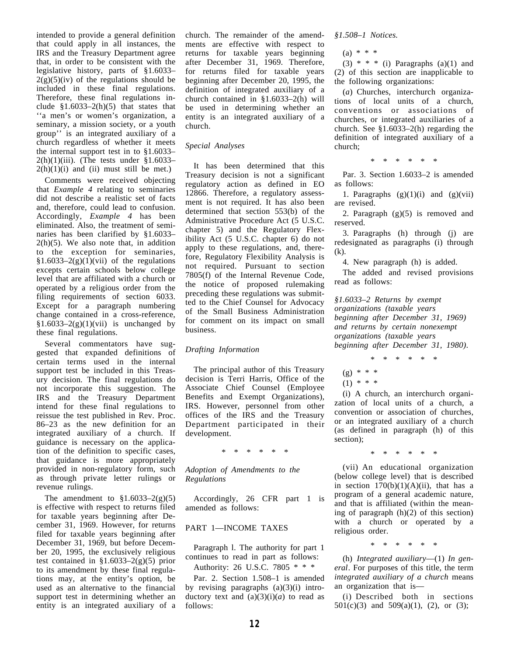intended to provide a general definition that could apply in all instances, the IRS and the Treasury Department agree that, in order to be consistent with the legislative history, parts of §1.6033–  $2(g)(5)(iv)$  of the regulations should be included in these final regulations. Therefore, these final regulations include  $$1.6033-2(h)(5)$  that states that ''a men's or women's organization, a seminary, a mission society, or a youth group'' is an integrated auxiliary of a church regardless of whether it meets the internal support test in to §1.6033–  $2(h)(1)(iii)$ . (The tests under §1.6033–  $2(h)(1)(i)$  and (ii) must still be met.)

Comments were received objecting that *Example 4* relating to seminaries did not describe a realistic set of facts and, therefore, could lead to confusion. Accordingly, *Example 4* has been eliminated. Also, the treatment of seminaries has been clarified by §1.6033–  $2(h)(5)$ . We also note that, in addition to the exception for seminaries,  $$1.6033-2(g)(1)(vii)$  of the regulations excepts certain schools below college level that are affiliated with a church or operated by a religious order from the filing requirements of section 6033. Except for a paragraph numbering change contained in a cross-reference,  $§1.6033-2(g)(1)(vii)$  is unchanged by these final regulations.

Several commentators have suggested that expanded definitions of certain terms used in the internal support test be included in this Treasury decision. The final regulations do not incorporate this suggestion. The IRS and the Treasury Department intend for these final regulations to reissue the test published in Rev. Proc. 86–23 as the new definition for an integrated auxiliary of a church. If guidance is necessary on the application of the definition to specific cases, that guidance is more appropriately provided in non-regulatory form, such as through private letter rulings or revenue rulings.

The amendment to  $$1.6033-2(g)(5)$ is effective with respect to returns filed for taxable years beginning after December 31, 1969. However, for returns filed for taxable years beginning after December 31, 1969, but before December 20, 1995, the exclusively religious test contained in  $$1.6033-2(g)(5)$  prior to its amendment by these final regulations may, at the entity's option, be used as an alternative to the financial support test in determining whether an entity is an integrated auxiliary of a

church. The remainder of the amendments are effective with respect to returns for taxable years beginning after December 31, 1969. Therefore, for returns filed for taxable years beginning after December 20, 1995, the definition of integrated auxiliary of a church contained in §1.6033–2(h) will be used in determining whether an entity is an integrated auxiliary of a church.

## *Special Analyses*

It has been determined that this Treasury decision is not a significant regulatory action as defined in EO 12866. Therefore, a regulatory assessment is not required. It has also been determined that section 553(b) of the Administrative Procedure Act (5 U.S.C. chapter 5) and the Regulatory Flexibility Act (5 U.S.C. chapter 6) do not apply to these regulations, and, therefore, Regulatory Flexibility Analysis is not required. Pursuant to section 7805(f) of the Internal Revenue Code, the notice of proposed rulemaking preceding these regulations was submitted to the Chief Counsel for Advocacy of the Small Business Administration for comment on its impact on small business.

## *Drafting Information*

The principal author of this Treasury decision is Terri Harris, Office of the Associate Chief Counsel (Employee Benefits and Exempt Organizations), IRS. However, personnel from other offices of the IRS and the Treasury Department participated in their development.

\*\*\*\*\*\*

*Adoption of Amendments to the Regulations* 

Accordingly, 26 CFR part 1 is amended as follows:

# PART 1—INCOME TAXES

Paragraph l. The authority for part 1 continues to read in part as follows: Authority: 26 U.S.C. 7805 \* \* \*

Par. 2. Section 1.508–1 is amended by revising paragraphs  $(a)(3)(i)$  introductory text and  $(a)(3)(i)(a)$  to read as follows:

*§1.508–1 Notices.* 

(a) \* \* \*

(3)  $* * *$  (i) Paragraphs (a)(1) and (2) of this section are inapplicable to the following organizations:

(*a*) Churches, interchurch organizations of local units of a church, conventions or associations of churches, or integrated auxiliaries of a church. See §1.6033–2(h) regarding the definition of integrated auxiliary of a church;

\*\*\*\*\*\*

Par. 3. Section 1.6033–2 is amended as follows:

1. Paragraphs  $(g)(1)(i)$  and  $(g)(vii)$ are revised.

2. Paragraph  $(g)(5)$  is removed and reserved.

3. Paragraphs (h) through (j) are redesignated as paragraphs (i) through (k).

4. New paragraph (h) is added.

The added and revised provisions read as follows:

*§1.6033–2 Returns by exempt organizations (taxable years beginning after December 31, 1969) and returns by certain nonexempt organizations (taxable years beginning after December 31, 1980)*.

\*\*\*\*\*\*

- (g) \* \* \*
- $(1) * * * *$

(i) A church, an interchurch organization of local units of a church, a convention or association of churches, or an integrated auxiliary of a church (as defined in paragraph (h) of this section);

\*\*\*\*\*\*

(vii) An educational organization (below college level) that is described in section  $170(b)(1)(A)(ii)$ , that has a program of a general academic nature, and that is affiliated (within the meaning of paragraph (h)(2) of this section) with a church or operated by a religious order.

\*\*\*\*\*\*

*eral* . For purposes of this title, the term *integrated auxiliary of a church* means (h) *Integrated auxiliary*—(1) *In gen* an organization that is—

(i) Described both in sections 501(c)(3) and 509(a)(1), (2), or (3);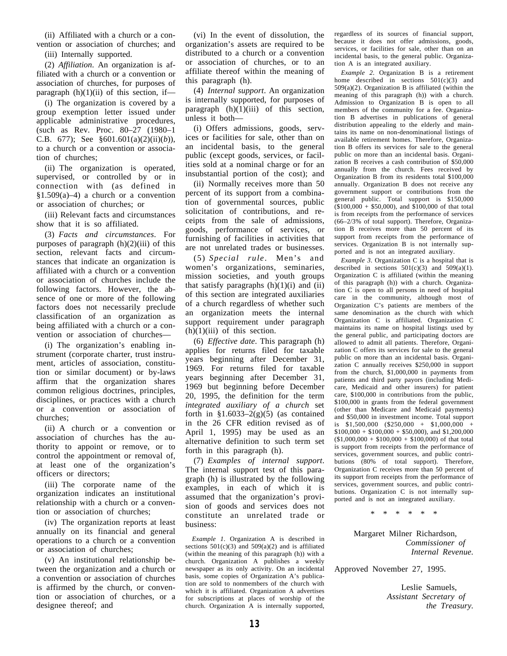(ii) Affiliated with a church or a convention or association of churches; and

(iii) Internally supported.

(2) *Affiliation*. An organization is affiliated with a church or a convention or association of churches, for purposes of paragraph  $(h)(1)(ii)$  of this section, if—

(i) The organization is covered by a group exemption letter issued under applicable administrative procedures, (such as Rev. Proc. 80–27 (1980–1 C.B. 677); See §601.601(a)(2)(ii)(*b*)), to a church or a convention or association of churches;

(ii) The organization is operated, supervised, or controlled by or in connection with (as defined in  $$1.509(a)-4)$  a church or a convention or association of churches; or

(iii) Relevant facts and circumstances show that it is so affiliated.

(3) *Facts and circumstances*. For purposes of paragraph  $(h)(2)(iii)$  of this section, relevant facts and circumstances that indicate an organization is affiliated with a church or a convention or association of churches include the following factors. However, the absence of one or more of the following factors does not necessarily preclude classification of an organization as being affiliated with a church or a convention or association of churches—

(i) The organization's enabling instrument (corporate charter, trust instrument, articles of association, constitution or similar document) or by-laws affirm that the organization shares common religious doctrines, principles, disciplines, or practices with a church or a convention or association of churches;

(ii) A church or a convention or association of churches has the authority to appoint or remove, or to control the appointment or removal of, at least one of the organization's officers or directors;

(iii) The corporate name of the organization indicates an institutional relationship with a church or a convention or association of churches;

(iv) The organization reports at least annually on its financial and general operations to a church or a convention or association of churches;

(v) An institutional relationship between the organization and a church or a convention or association of churches is affirmed by the church, or convention or association of churches, or a designee thereof; and

(vi) In the event of dissolution, the organization's assets are required to be distributed to a church or a convention or association of churches, or to an affiliate thereof within the meaning of this paragraph (h).

(4) *Internal support*. An organization is internally supported, for purposes of paragraph  $(h)(1)(iii)$  of this section, unless it both—

(i) Offers admissions, goods, services or facilities for sale, other than on an incidental basis, to the general public (except goods, services, or facilities sold at a nominal charge or for an insubstantial portion of the cost); and

(ii) Normally receives more than 50 percent of its support from a combination of governmental sources, public solicitation of contributions, and receipts from the sale of admissions, goods, performance of services, or furnishing of facilities in activities that are not unrelated trades or businesses.

(5) *Special rule*. Men's and women's organizations, seminaries, mission societies, and youth groups that satisfy paragraphs  $(h)(1)(i)$  and  $(ii)$ of this section are integrated auxiliaries of a church regardless of whether such an organization meets the internal support requirement under paragraph  $(h)(1)(iii)$  of this section.

(6) *Effective date*. This paragraph (h) applies for returns filed for taxable years beginning after December 31, 1969. For returns filed for taxable years beginning after December 31, 1969 but beginning before December 20, 1995, the definition for the term *integrated auxiliary of a church* set forth in  $\S1.6033-2(g)(5)$  (as contained in the 26 CFR edition revised as of April 1, 1995) may be used as an alternative definition to such term set forth in this paragraph (h).

(7) *Examples of internal support*. The internal support test of this paragraph (h) is illustrated by the following examples, in each of which it is assumed that the organization's provision of goods and services does not constitute an unrelated trade or business:

*Example 1*. Organization A is described in sections  $501(c)(3)$  and  $509(a)(2)$  and is affiliated (within the meaning of this paragraph (h)) with a church. Organization A publishes a weekly newspaper as its only activity. On an incidental basis, some copies of Organization A's publication are sold to nonmembers of the church with which it is affiliated. Organization A advertises for subscriptions at places of worship of the church. Organization A is internally supported,

regardless of its sources of financial support, because it does not offer admissions, goods, services, or facilities for sale, other than on an incidental basis, to the general public. Organization A is an integrated auxiliary.

*Example 2*. Organization B is a retirement home described in sections  $501(c)(3)$  and 509(a)(2). Organization B is affiliated (within the meaning of this paragraph (h)) with a church. Admission to Organization B is open to all members of the community for a fee. Organization B advertises in publications of general distribution appealing to the elderly and maintains its name on non-denominational listings of available retirement homes. Therefore, Organization B offers its services for sale to the general public on more than an incidental basis. Organization B receives a cash contribution of \$50,000 annually from the church. Fees received by Organization B from its residents total \$100,000 annually. Organization B does not receive any government support or contributions from the general public. Total support is \$150,000  $(100,000 + $50,000)$ , and  $100,000$  of that total is from receipts from the performance of services (66–2/3% of total support). Therefore, Organization B receives more than 50 percent of its support from receipts from the performance of services. Organization B is not internally supported and is not an integrated auxiliary.

*Example 3*. Organization C is a hospital that is described in sections  $501(c)(3)$  and  $509(a)(1)$ . Organization C is affiliated (within the meaning of this paragraph (h)) with a church. Organization C is open to all persons in need of hospital care in the community, although most of Organization C's patients are members of the same denomination as the church with which Organization C is affiliated. Organization C maintains its name on hospital listings used by the general public, and participating doctors are allowed to admit all patients. Therefore, Organization C offers its services for sale to the general public on more than an incidental basis. Organization C annually receives \$250,000 in support from the church, \$1,000,000 in payments from patients and third party payors (including Medicare, Medicaid and other insurers) for patient care, \$100,000 in contributions from the public, \$100,000 in grants from the federal government (other than Medicare and Medicaid payments) and \$50,000 in investment income. Total support is  $$1,500,000$   $($250,000 + $1,000,000 +$  $$100,000 + $100,000 + $50,000$ , and  $$1,200,000$  $($1,000,000 + $100,000 + $100,000)$  of that total is support from receipts from the performance of services, government sources, and public contributions (80% of total support). Therefore, Organization C receives more than 50 percent of its support from receipts from the performance of services, government sources, and public contributions. Organization C is not internally supported and is not an integrated auxiliary.

\*\*\*\*\*\*

Margaret Milner Richardson, *Commissioner of Internal Revenue.* 

Approved November 27, 1995.

Leslie Samuels, *Assistant Secretary of the Treasury.*